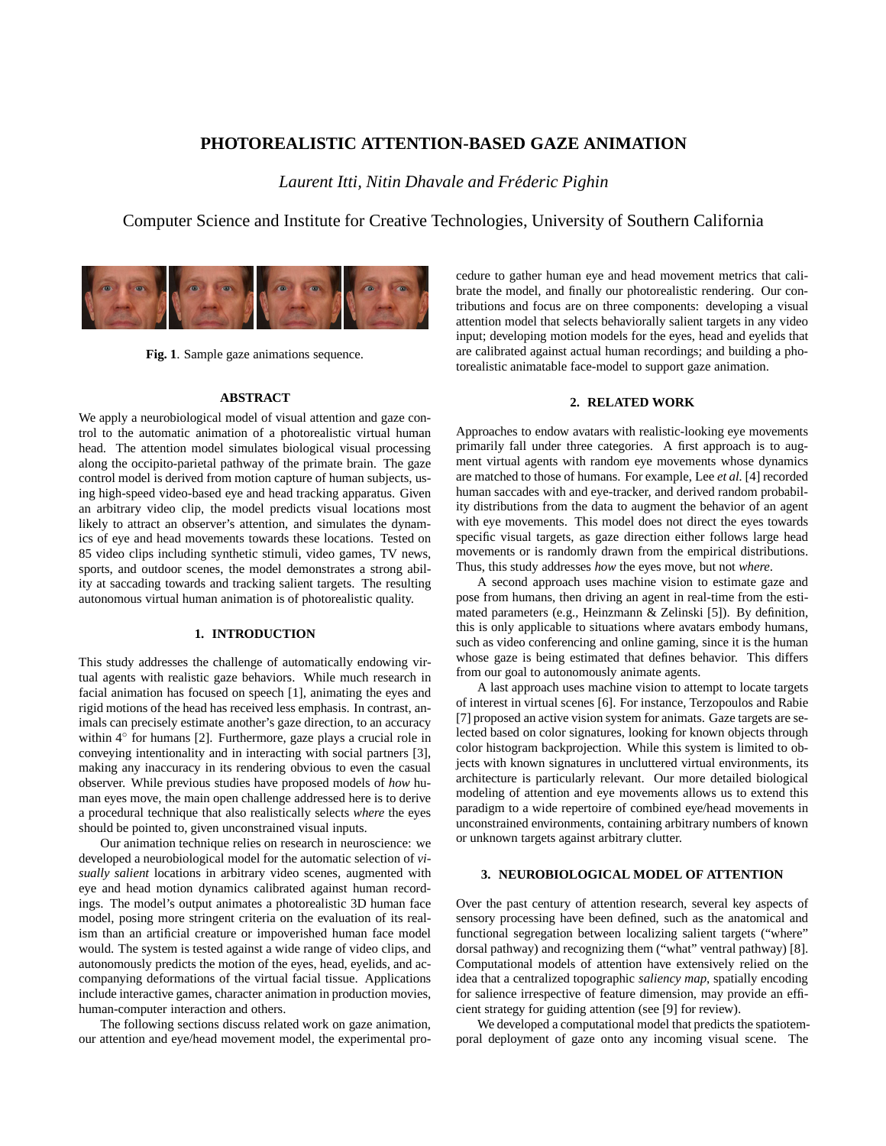# **PHOTOREALISTIC ATTENTION-BASED GAZE ANIMATION**

*Laurent Itti, Nitin Dhavale and Frederic ´ Pighin*

Computer Science and Institute for Creative Technologies, University of Southern California



**Fig. 1**. Sample gaze animations sequence.

#### **ABSTRACT**

We apply a neurobiological model of visual attention and gaze control to the automatic animation of a photorealistic virtual human head. The attention model simulates biological visual processing along the occipito-parietal pathway of the primate brain. The gaze control model is derived from motion capture of human subjects, using high-speed video-based eye and head tracking apparatus. Given an arbitrary video clip, the model predicts visual locations most likely to attract an observer's attention, and simulates the dynamics of eye and head movements towards these locations. Tested on 85 video clips including synthetic stimuli, video games, TV news, sports, and outdoor scenes, the model demonstrates a strong ability at saccading towards and tracking salient targets. The resulting autonomous virtual human animation is of photorealistic quality.

# **1. INTRODUCTION**

This study addresses the challenge of automatically endowing virtual agents with realistic gaze behaviors. While much research in facial animation has focused on speech [1], animating the eyes and rigid motions of the head has received less emphasis. In contrast, animals can precisely estimate another's gaze direction, to an accuracy within  $4^{\circ}$  for humans [2]. Furthermore, gaze plays a crucial role in conveying intentionality and in interacting with social partners [3], making any inaccuracy in its rendering obvious to even the casual observer. While previous studies have proposed models of *how* human eyes move, the main open challenge addressed here is to derive a procedural technique that also realistically selects *where* the eyes should be pointed to, given unconstrained visual inputs.

Our animation technique relies on research in neuroscience: we developed a neurobiological model for the automatic selection of *visually salient* locations in arbitrary video scenes, augmented with eye and head motion dynamics calibrated against human recordings. The model's output animates a photorealistic 3D human face model, posing more stringent criteria on the evaluation of its realism than an artificial creature or impoverished human face model would. The system is tested against a wide range of video clips, and autonomously predicts the motion of the eyes, head, eyelids, and accompanying deformations of the virtual facial tissue. Applications include interactive games, character animation in production movies, human-computer interaction and others.

The following sections discuss related work on gaze animation, our attention and eye/head movement model, the experimental procedure to gather human eye and head movement metrics that calibrate the model, and finally our photorealistic rendering. Our contributions and focus are on three components: developing a visual attention model that selects behaviorally salient targets in any video input; developing motion models for the eyes, head and eyelids that are calibrated against actual human recordings; and building a photorealistic animatable face-model to support gaze animation.

### **2. RELATED WORK**

Approaches to endow avatars with realistic-looking eye movements primarily fall under three categories. A first approach is to augment virtual agents with random eye movements whose dynamics are matched to those of humans. For example, Lee *et al.* [4] recorded human saccades with and eye-tracker, and derived random probability distributions from the data to augment the behavior of an agent with eye movements. This model does not direct the eyes towards specific visual targets, as gaze direction either follows large head movements or is randomly drawn from the empirical distributions. Thus, this study addresses *how* the eyes move, but not *where*.

A second approach uses machine vision to estimate gaze and pose from humans, then driving an agent in real-time from the estimated parameters (e.g., Heinzmann & Zelinski [5]). By definition, this is only applicable to situations where avatars embody humans, such as video conferencing and online gaming, since it is the human whose gaze is being estimated that defines behavior. This differs from our goal to autonomously animate agents.

A last approach uses machine vision to attempt to locate targets of interest in virtual scenes [6]. For instance, Terzopoulos and Rabie [7] proposed an active vision system for animats. Gaze targets are selected based on color signatures, looking for known objects through color histogram backprojection. While this system is limited to objects with known signatures in uncluttered virtual environments, its architecture is particularly relevant. Our more detailed biological modeling of attention and eye movements allows us to extend this paradigm to a wide repertoire of combined eye/head movements in unconstrained environments, containing arbitrary numbers of known or unknown targets against arbitrary clutter.

### **3. NEUROBIOLOGICAL MODEL OF ATTENTION**

Over the past century of attention research, several key aspects of sensory processing have been defined, such as the anatomical and functional segregation between localizing salient targets ("where" dorsal pathway) and recognizing them ("what" ventral pathway) [8]. Computational models of attention have extensively relied on the idea that a centralized topographic *saliency map*, spatially encoding for salience irrespective of feature dimension, may provide an efficient strategy for guiding attention (see [9] for review).

We developed a computational model that predicts the spatiotemporal deployment of gaze onto any incoming visual scene. The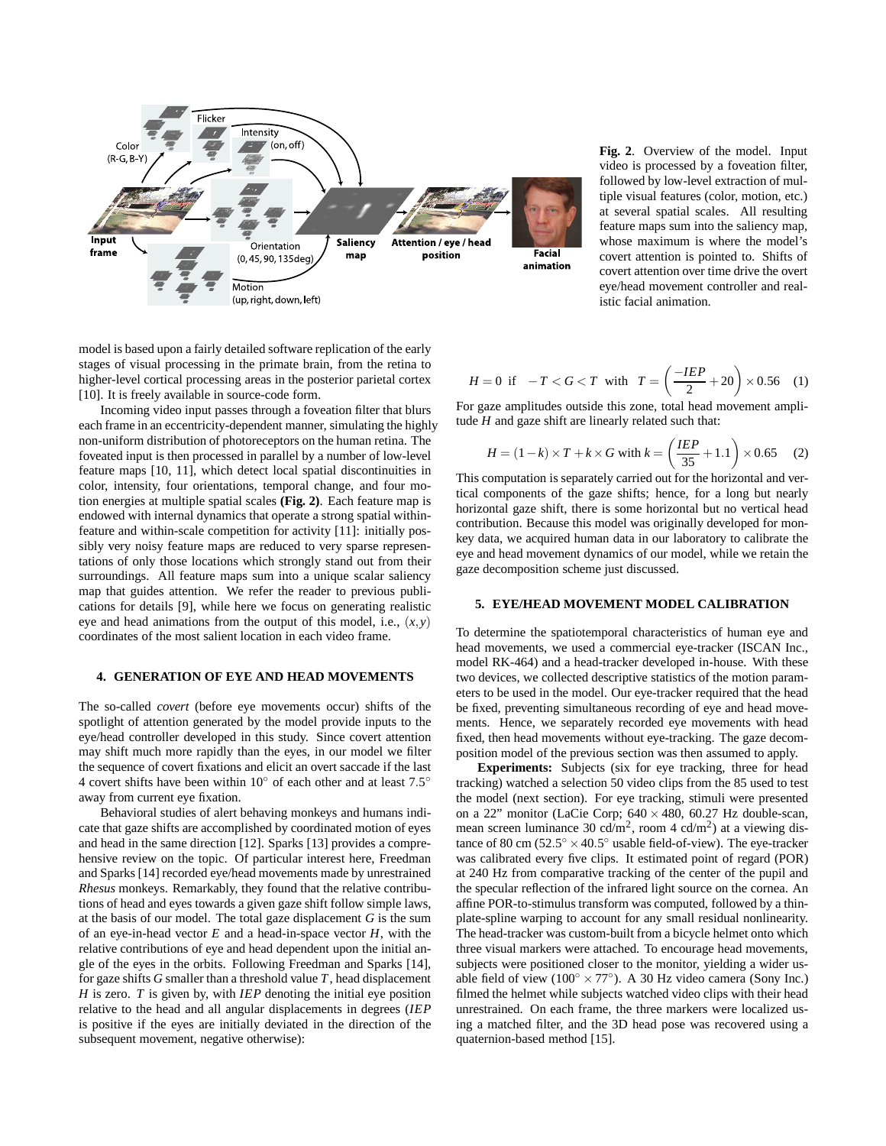

**Fig. 2**. Overview of the model. Input video is processed by a foveation filter, followed by low-level extraction of multiple visual features (color, motion, etc.) at several spatial scales. All resulting feature maps sum into the saliency map, whose maximum is where the model's covert attention is pointed to. Shifts of covert attention over time drive the overt eye/head movement controller and realistic facial animation.

model is based upon a fairly detailed software replication of the early stages of visual processing in the primate brain, from the retina to higher-level cortical processing areas in the posterior parietal cortex [10]. It is freely available in source-code form.

Incoming video input passes through a foveation filter that blurs each frame in an eccentricity-dependent manner, simulating the highly non-uniform distribution of photoreceptors on the human retina. The foveated input is then processed in parallel by a number of low-level feature maps [10, 11], which detect local spatial discontinuities in color, intensity, four orientations, temporal change, and four motion energies at multiple spatial scales **(Fig. 2)**. Each feature map is endowed with internal dynamics that operate a strong spatial withinfeature and within-scale competition for activity [11]: initially possibly very noisy feature maps are reduced to very sparse representations of only those locations which strongly stand out from their surroundings. All feature maps sum into a unique scalar saliency map that guides attention. We refer the reader to previous publications for details [9], while here we focus on generating realistic eye and head animations from the output of this model, i.e., (*x*,*y*) coordinates of the most salient location in each video frame.

# **4. GENERATION OF EYE AND HEAD MOVEMENTS**

The so-called *covert* (before eye movements occur) shifts of the spotlight of attention generated by the model provide inputs to the eye/head controller developed in this study. Since covert attention may shift much more rapidly than the eyes, in our model we filter the sequence of covert fixations and elicit an overt saccade if the last 4 covert shifts have been within 10 $^{\circ}$  of each other and at least 7.5 $^{\circ}$ away from current eye fixation.

Behavioral studies of alert behaving monkeys and humans indicate that gaze shifts are accomplished by coordinated motion of eyes and head in the same direction [12]. Sparks [13] provides a comprehensive review on the topic. Of particular interest here, Freedman and Sparks [14] recorded eye/head movements made by unrestrained *Rhesus* monkeys. Remarkably, they found that the relative contributions of head and eyes towards a given gaze shift follow simple laws, at the basis of our model. The total gaze displacement *G* is the sum of an eye-in-head vector *E* and a head-in-space vector *H*, with the relative contributions of eye and head dependent upon the initial angle of the eyes in the orbits. Following Freedman and Sparks [14], for gaze shifts *G* smaller than a threshold value *T*, head displacement *H* is zero. *T* is given by, with *IEP* denoting the initial eye position relative to the head and all angular displacements in degrees (*IEP* is positive if the eyes are initially deviated in the direction of the subsequent movement, negative otherwise):

$$
H = 0 \text{ if } -T < G < T \text{ with } T = \left(\frac{-IEP}{2} + 20\right) \times 0.56 \quad (1)
$$

For gaze amplitudes outside this zone, total head movement amplitude *H* and gaze shift are linearly related such that:

$$
H = (1 - k) \times T + k \times G \text{ with } k = \left(\frac{IEP}{35} + 1.1\right) \times 0.65 \quad (2)
$$

This computation is separately carried out for the horizontal and vertical components of the gaze shifts; hence, for a long but nearly horizontal gaze shift, there is some horizontal but no vertical head contribution. Because this model was originally developed for monkey data, we acquired human data in our laboratory to calibrate the eye and head movement dynamics of our model, while we retain the gaze decomposition scheme just discussed.

#### **5. EYE/HEAD MOVEMENT MODEL CALIBRATION**

To determine the spatiotemporal characteristics of human eye and head movements, we used a commercial eye-tracker (ISCAN Inc., model RK-464) and a head-tracker developed in-house. With these two devices, we collected descriptive statistics of the motion parameters to be used in the model. Our eye-tracker required that the head be fixed, preventing simultaneous recording of eye and head movements. Hence, we separately recorded eye movements with head fixed, then head movements without eye-tracking. The gaze decomposition model of the previous section was then assumed to apply.

**Experiments:** Subjects (six for eye tracking, three for head tracking) watched a selection 50 video clips from the 85 used to test the model (next section). For eye tracking, stimuli were presented on a 22" monitor (LaCie Corp;  $640 \times 480$ ,  $60.27$  Hz double-scan, mean screen luminance 30 cd/m<sup>2</sup>, room 4 cd/m<sup>2</sup>) at a viewing distance of 80 cm  $(52.5^{\circ} \times 40.5^{\circ}$  usable field-of-view). The eye-tracker was calibrated every five clips. It estimated point of regard (POR) at 240 Hz from comparative tracking of the center of the pupil and the specular reflection of the infrared light source on the cornea. An affine POR-to-stimulus transform was computed, followed by a thinplate-spline warping to account for any small residual nonlinearity. The head-tracker was custom-built from a bicycle helmet onto which three visual markers were attached. To encourage head movements, subjects were positioned closer to the monitor, yielding a wider usable field of view ( $100^\circ \times 77^\circ$ ). A 30 Hz video camera (Sony Inc.) filmed the helmet while subjects watched video clips with their head unrestrained. On each frame, the three markers were localized using a matched filter, and the 3D head pose was recovered using a quaternion-based method [15].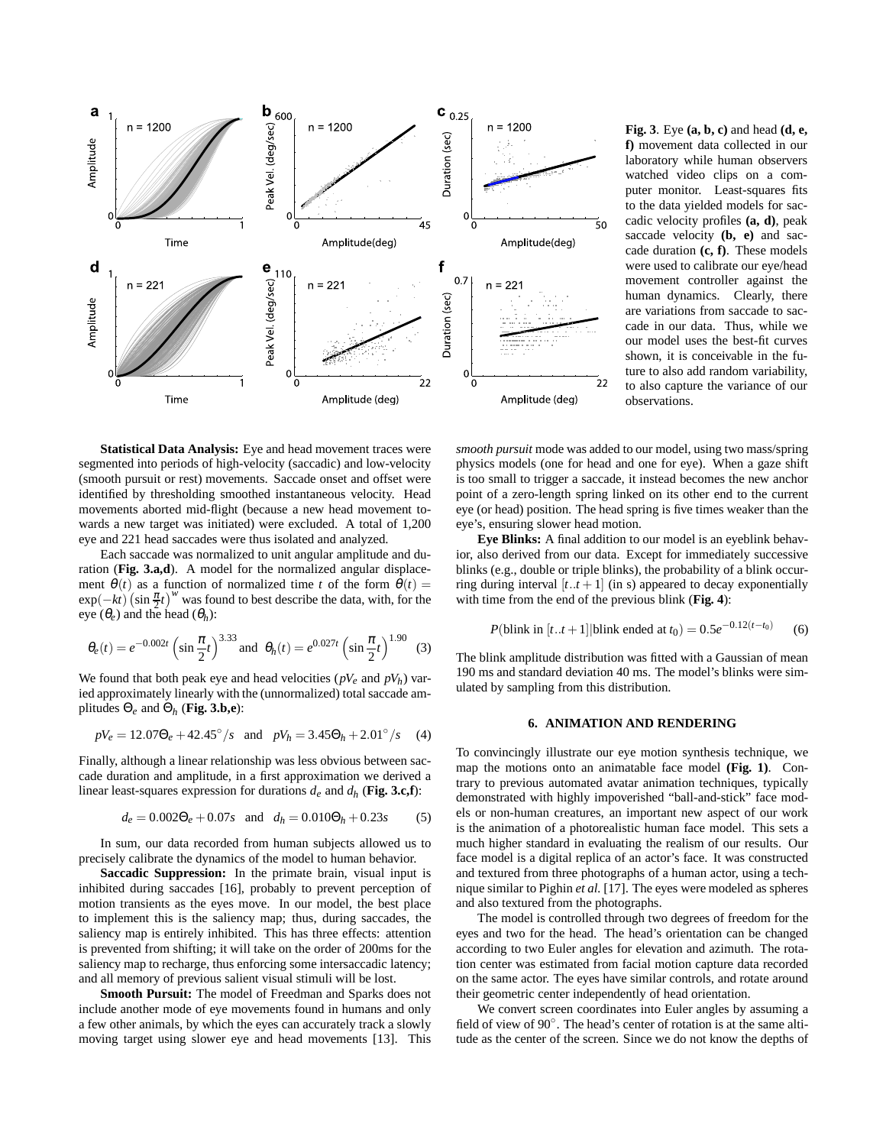

**Fig. 3**. Eye **(a, b, c)** and head **(d, e, f)** movement data collected in our laboratory while human observers watched video clips on a computer monitor. Least-squares fits to the data yielded models for saccadic velocity profiles **(a, d)**, peak saccade velocity **(b, e)** and saccade duration **(c, f)**. These models were used to calibrate our eye/head movement controller against the human dynamics. Clearly, there are variations from saccade to saccade in our data. Thus, while we our model uses the best-fit curves shown, it is conceivable in the future to also add random variability, to also capture the variance of our observations.

**Statistical Data Analysis:** Eye and head movement traces were segmented into periods of high-velocity (saccadic) and low-velocity (smooth pursuit or rest) movements. Saccade onset and offset were identified by thresholding smoothed instantaneous velocity. Head movements aborted mid-flight (because a new head movement towards a new target was initiated) were excluded. A total of 1,200 eye and 221 head saccades were thus isolated and analyzed.

Each saccade was normalized to unit angular amplitude and duration (**Fig. 3.a,d**). A model for the normalized angular displacement  $\theta(t)$  as a function of normalized time *t* of the form  $\theta(t)$  =  $\exp(-kt)\left(\sin\frac{\pi}{2}t\right)^w$  was found to best describe the data, with, for the eye  $(\theta_e)$  and the head  $(\theta_h)$ :

$$
\theta_e(t) = e^{-0.002t} \left( \sin \frac{\pi}{2} t \right)^{3.33} \text{ and } \theta_h(t) = e^{0.027t} \left( \sin \frac{\pi}{2} t \right)^{1.90} \tag{3}
$$

We found that both peak eye and head velocities  $(pV_e$  and  $pV_h)$  varied approximately linearly with the (unnormalized) total saccade amplitudes Θ*<sup>e</sup>* and Θ*<sup>h</sup>* (**Fig. 3.b,e**):

$$
pV_e = 12.07\Theta_e + 42.45^\circ / s \quad \text{and} \quad pV_h = 3.45\Theta_h + 2.01^\circ / s \tag{4}
$$

Finally, although a linear relationship was less obvious between saccade duration and amplitude, in a first approximation we derived a linear least-squares expression for durations  $d_e$  and  $d_h$  (Fig. 3.c,f):

$$
d_e = 0.002\Theta_e + 0.07s \quad \text{and} \quad d_h = 0.010\Theta_h + 0.23s \tag{5}
$$

In sum, our data recorded from human subjects allowed us to precisely calibrate the dynamics of the model to human behavior.

**Saccadic Suppression:** In the primate brain, visual input is inhibited during saccades [16], probably to prevent perception of motion transients as the eyes move. In our model, the best place to implement this is the saliency map; thus, during saccades, the saliency map is entirely inhibited. This has three effects: attention is prevented from shifting; it will take on the order of 200ms for the saliency map to recharge, thus enforcing some intersaccadic latency; and all memory of previous salient visual stimuli will be lost.

**Smooth Pursuit:** The model of Freedman and Sparks does not include another mode of eye movements found in humans and only a few other animals, by which the eyes can accurately track a slowly moving target using slower eye and head movements [13]. This *smooth pursuit* mode was added to our model, using two mass/spring physics models (one for head and one for eye). When a gaze shift is too small to trigger a saccade, it instead becomes the new anchor point of a zero-length spring linked on its other end to the current eye (or head) position. The head spring is five times weaker than the eye's, ensuring slower head motion.

**Eye Blinks:** A final addition to our model is an eyeblink behavior, also derived from our data. Except for immediately successive blinks (e.g., double or triple blinks), the probability of a blink occurring during interval  $[t..t+1]$  (in s) appeared to decay exponentially with time from the end of the previous blink (**Fig. 4**):

$$
P(\text{blink in } [t..t+1] | \text{blink ended at } t_0) = 0.5e^{-0.12(t-t_0)} \tag{6}
$$

The blink amplitude distribution was fitted with a Gaussian of mean 190 ms and standard deviation 40 ms. The model's blinks were simulated by sampling from this distribution.

# **6. ANIMATION AND RENDERING**

To convincingly illustrate our eye motion synthesis technique, we map the motions onto an animatable face model **(Fig. 1)**. Contrary to previous automated avatar animation techniques, typically demonstrated with highly impoverished "ball-and-stick" face models or non-human creatures, an important new aspect of our work is the animation of a photorealistic human face model. This sets a much higher standard in evaluating the realism of our results. Our face model is a digital replica of an actor's face. It was constructed and textured from three photographs of a human actor, using a technique similar to Pighin *et al.* [17]. The eyes were modeled as spheres and also textured from the photographs.

The model is controlled through two degrees of freedom for the eyes and two for the head. The head's orientation can be changed according to two Euler angles for elevation and azimuth. The rotation center was estimated from facial motion capture data recorded on the same actor. The eyes have similar controls, and rotate around their geometric center independently of head orientation.

We convert screen coordinates into Euler angles by assuming a field of view of 90◦ . The head's center of rotation is at the same altitude as the center of the screen. Since we do not know the depths of